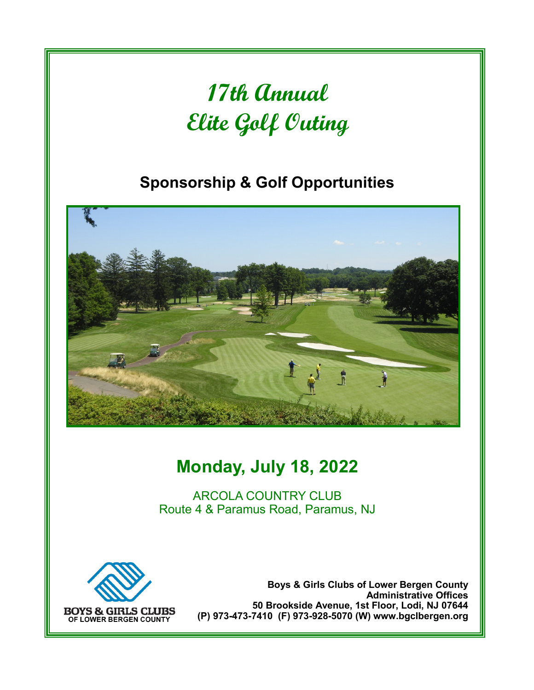# **17th Annual Elite Golf Outing**

# **Sponsorship & Golf Opportunities**



# **Monday, July 18, 2022**

ARCOLA COUNTRY CLUB Route 4 & Paramus Road, Paramus, NJ



**Boys & Girls Clubs of Lower Bergen County Administrative Offices 50 Brookside Avenue, 1st Floor, Lodi, NJ 07644 (P) 973-473-7410 (F) 973-928-5070 (W) www.bgclbergen.org**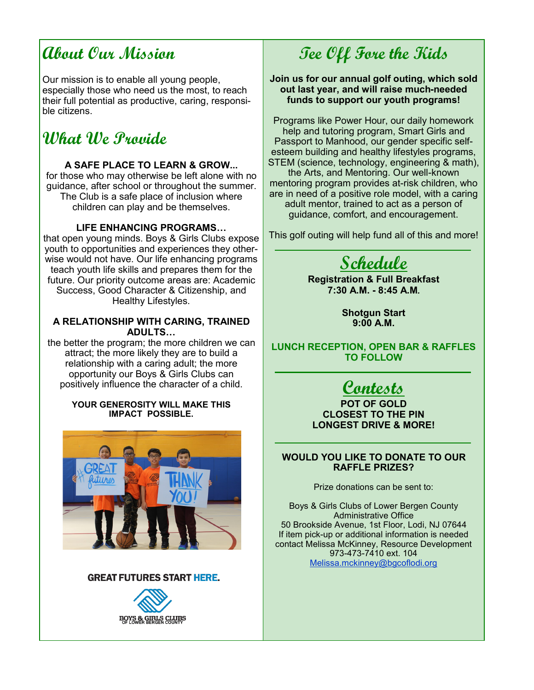# **About Our Mission**

Our mission is to enable all young people, especially those who need us the most, to reach their full potential as productive, caring, responsible citizens.

# **What We Provide**

## **A SAFE PLACE TO LEARN & GROW...**

for those who may otherwise be left alone with no guidance, after school or throughout the summer. The Club is a safe place of inclusion where children can play and be themselves.

## **LIFE ENHANCING PROGRAMS…**

that open young minds. Boys & Girls Clubs expose youth to opportunities and experiences they otherwise would not have. Our life enhancing programs teach youth life skills and prepares them for the future. Our priority outcome areas are: Academic Success, Good Character & Citizenship, and Healthy Lifestyles.

## **A RELATIONSHIP WITH CARING, TRAINED ADULTS…**

the better the program; the more children we can attract; the more likely they are to build a relationship with a caring adult; the more opportunity our Boys & Girls Clubs can positively influence the character of a child.

### **YOUR GENEROSITY WILL MAKE THIS IMPACT POSSIBLE.**



## **GREAT FUTURES START HERE.**



**Tee Off Fore the Kids**

**Join us for our annual golf outing, which sold out last year, and will raise much-needed funds to support our youth programs!** 

Programs like Power Hour, our daily homework help and tutoring program, Smart Girls and Passport to Manhood, our gender specific selfesteem building and healthy lifestyles programs, STEM (science, technology, engineering & math), the Arts, and Mentoring. Our well-known mentoring program provides at-risk children, who are in need of a positive role model, with a caring adult mentor, trained to act as a person of guidance, comfort, and encouragement.

This golf outing will help fund all of this and more!

**Schedule**

**Registration & Full Breakfast 7:30 A.M. - 8:45 A.M.**

> **Shotgun Start 9:00 A.M.**

**LUNCH RECEPTION, OPEN BAR & RAFFLES TO FOLLOW**

**Contests**

**POT OF GOLD CLOSEST TO THE PIN LONGEST DRIVE & MORE!**

## **WOULD YOU LIKE TO DONATE TO OUR RAFFLE PRIZES?**

Prize donations can be sent to:

Boys & Girls Clubs of Lower Bergen County Administrative Office 50 Brookside Avenue, 1st Floor, Lodi, NJ 07644 If item pick-up or additional information is needed contact Melissa McKinney, Resource Development 973-473-7410 ext. 104 Melissa.mckinney@bgcoflodi.org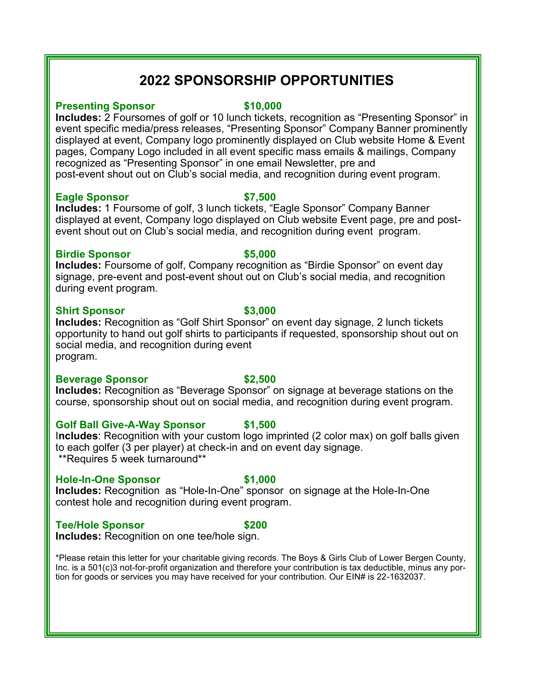## **2022 SPONSORSHIP OPPORTUNITIES**

## **Presenting Sponsor 510,000**

**Includes:** 2 Foursomes of golf or 10 lunch tickets, recognition as "Presenting Sponsor" in event specific media/press releases, "Presenting Sponsor" Company Banner prominently displayed at event, Company logo prominently displayed on Club website Home & Event pages, Company Logo included in all event specific mass emails & mailings, Company recognized as "Presenting Sponsor" in one email Newsletter, pre and post-event shout out on Club's social media, and recognition during event program.

## **Eagle Sponsor \$7,500**

**Includes:** 1 Foursome of golf, 3 lunch tickets, "Eagle Sponsor" Company Banner displayed at event, Company logo displayed on Club website Event page, pre and postevent shout out on Club's social media, and recognition during event program.

## **Birdie Sponsor \$5,000**

**Includes:** Foursome of golf, Company recognition as "Birdie Sponsor" on event day signage, pre-event and post-event shout out on Club's social media, and recognition during event program.

## **Shirt Sponsor \$3,000**

**Includes:** Recognition as "Golf Shirt Sponsor" on event day signage, 2 lunch tickets opportunity to hand out golf shirts to participants if requested, sponsorship shout out on social media, and recognition during event program.

## **Beverage Sponsor \$2,500**

**Includes:** Recognition as "Beverage Sponsor" on signage at beverage stations on the course, sponsorship shout out on social media, and recognition during event program.

## **Golf Ball Give-A-Way Sponsor \$1,500**

I**ncludes**: Recognition with your custom logo imprinted (2 color max) on golf balls given to each golfer (3 per player) at check-in and on event day signage. \*\*Requires 5 week turnaround\*\*

## **Hole-In-One Sponsor \$1,000**

**Includes:** Recognition as "Hole-In-One" sponsor on signage at the Hole-In-One contest hole and recognition during event program.

## **Tee/Hole Sponsor \$200**

**Includes:** Recognition on one tee/hole sign.

\*Please retain this letter for your charitable giving records. The Boys & Girls Club of Lower Bergen County, Inc. is a 501(c)3 not-for-profit organization and therefore your contribution is tax deductible, minus any portion for goods or services you may have received for your contribution. Our EIN# is 22-1632037.